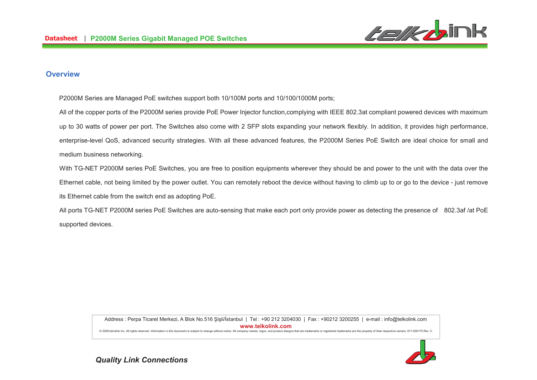

#### **Overview**

P2000M Series are Managed PoE switches support both 10/100M ports and 10/100/1000M ports;

All of the copper ports of the P2000M series provide PoE Power Injector function,complying with IEEE 802.3at compliant powered devices with maximum up to 30 watts of power per port. The Switches also come with 2 SFP slots expanding your network flexibly. In addition, it provides high performance, enterprise-level QoS, advanced security strategies. With all these advanced features, the P2000M Series PoE Switch are ideal choice for small and medium business networking.

With TG-NET P2000M series PoE Switches, you are free to position equipments wherever they should be and power to the unit with the data over the Ethernet cable, not being limited by the power outlet. You can remotely reboot the device without having to climb up to or go to the device - just removeits Ethernet cable from the switch end as adopting PoE.

All ports TG-NET P2000M series PoE Switches are auto-sensing that make each port only provide power as detecting the presence of 802.3af /at PoE supported devices.

> Address : Perpa Ticaret Merkezi, A Blok No.516 Şişli/İstanbul | Tel : +90 212 3204030 | Fax : +90212 3200255 | e-mail : info@telkolink.com **%%%&-&'**

> @ 2009 telcolink Inc. All rights reserved. Information in this document is subject to change without notice. All company names, logos, and product designs that are trademarks or registered trademarks are the property of th

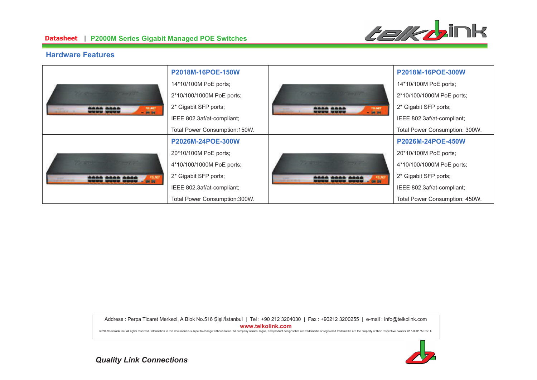

#### **Hardware Features**

|                                                                                                   | P2018M-16POE-150W              |                                                                             | P2018M-16POE-300W              |
|---------------------------------------------------------------------------------------------------|--------------------------------|-----------------------------------------------------------------------------|--------------------------------|
| <b>Committee of the Committee of the Committee</b><br>166 <b>666</b><br><b>TG-NET</b><br>$-36.06$ | 14*10/100M PoE ports;          |                                                                             | 14*10/100M PoE ports;          |
|                                                                                                   | 2*10/100/1000M PoE ports;      | <br><b>TO-MET</b><br>$-$ 24 26<br><b><i><u><u>CHOICH CHOICH</u></u></i></b> | 2*10/100/1000M PoE ports;      |
|                                                                                                   | 2* Gigabit SFP ports;          |                                                                             | 2* Gigabit SFP ports;          |
|                                                                                                   | IEEE 802.3af/at-compliant;     |                                                                             | IEEE 802.3af/at-compliant;     |
|                                                                                                   | Total Power Consumption: 150W. |                                                                             | Total Power Consumption: 300W. |
| -<br><b>ASSISTENTIALS</b><br><b>BM 09</b>                                                         | P2026M-24POE-300W              |                                                                             | P2026M-24POE-450W              |
|                                                                                                   | 20*10/100M PoE ports;          |                                                                             | 20*10/100M PoE ports;          |
|                                                                                                   | 4*10/100/1000M PoE ports;      | <b>Contract Party</b><br><br><b>ANTISTERING</b><br><b>B 200 000</b>         | 4*10/100/1000M PoE ports;      |
|                                                                                                   | 2* Gigabit SFP ports;          |                                                                             | 2* Gigabit SFP ports;          |
|                                                                                                   | IEEE 802.3af/at-compliant;     |                                                                             | IEEE 802.3af/at-compliant;     |
|                                                                                                   | Total Power Consumption:300W.  |                                                                             | Total Power Consumption: 450W. |

Address : Perpa Ticaret Merkezi, A Blok No.516 Şişli/İstanbul | Tel : +90 212 3204030 | Fax : +90212 3200255 | e-mail : info@telkolink.com  $www.telkolink.com$ 

@ 2009 telcolink Inc. All rights reserved. Information in this document is subject to change without notice. All company names, logos, and product designs that are trademarks or registered trademarks are the property of th

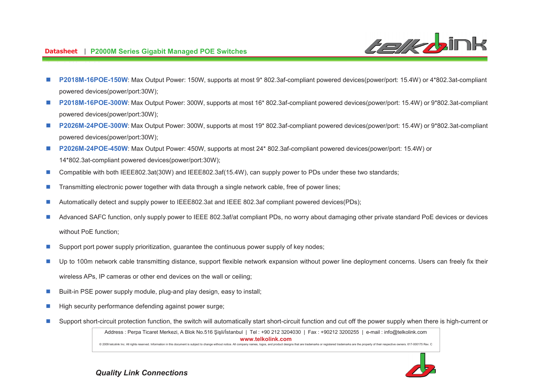**Characteristics** 

- n **P2018M-16POE-150W**: Max Output Power: 150W, supports at most 9\* 802.3af-compliant powered devices(power/port: 15.4W) or 4\*802.3at-compliant powered devices(power/port:30W);
- n **P2018M-16POE-300W**: Max Output Power: 300W, supports at most 16\* 802.3af-compliant powered devices(power/port: 15.4W) or 9\*802.3at-compliant powered devices(power/port:30W);
- n **P2026M-24POE-300W**: Max Output Power: 300W, supports at most 19\* 802.3af-compliant powered devices(power/port: 15.4W) or 9\*802.3at-compliant powered devices(power/port:30W);
- n **P2026M-24POE-450W**: Max Output Power: 450W, supports at most 24\* 802.3af-compliant powered devices(power/port: 15.4W) or 14\*802.3at-compliant powered devices(power/port:30W);
- nCompatible with both IEEE802.3at(30W) and IEEE802.3af(15.4W), can supply power to PDs under these two standards;
- nTransmitting electronic power together with data through a single network cable, free of power lines;
- nAutomatically detect and supply power to IEEE802.3at and IEEE 802.3af compliant powered devices(PDs);
- n Advanced SAFC function, only supply power to IEEE 802.3af/at compliant PDs, no worry about damaging other private standard PoE devices or devices without PoE function;
- nSupport port power supply prioritization, guarantee the continuous power supply of key nodes;
- n Up to 100m network cable transmitting distance, support flexible network expansion without power line deployment concerns. Users can freely fix their wireless APs, IP cameras or other end devices on the wall or ceiling;
- nBuilt-in PSE power supply module, plug-and play design, easy to install;
- nHigh security performance defending against power surge;
- nSupport short-circuit protection function, the switch will automatically start short-circuit function and cut off the power supply when there is high-current or

Address : Perpa Ticaret Merkezi, A Blok No.516 Şişli/İstanbul | Tel : +90 212 3204030 | Fax : +90212 3200255 | e-mail : info@telkolink.com **%%%&-&'**

@ 2009 telcolink Inc. All rights reserved. Information in this document is subject to change without notice. All company names, logos, and product designs that are trademarks or registered trademarks are the property of th

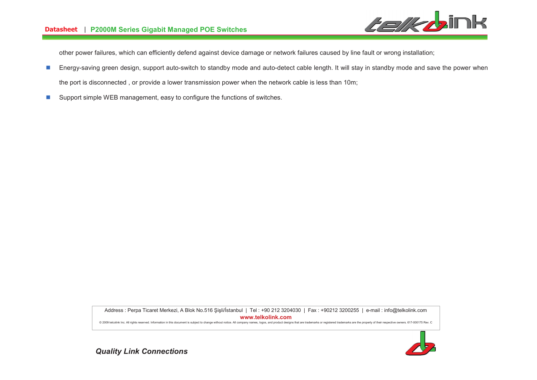

other power failures, which can efficiently defend against device damage or network failures caused by line fault or wrong installation;

- n Energy-saving green design, support auto-switch to standby mode and auto-detect cable length. It will stay in standby mode and save the power when the port is disconnected , or provide a lower transmission power when the network cable is less than 10m;
- nSupport simple WEB management, easy to configure the functions of switches.

Address : Perpa Ticaret Merkezi, A Blok No.516 Şişli/İstanbul | Tel : +90 212 3204030 | Fax : +90212 3200255 | e-mail : info@telkolink.com **%%%&-&'**

@ 2009 telcolink Inc. All rights reserved. Information in this document is subject to change without notice. All company names, logos, and product designs that are trademarks or registered trademarks are the property of th

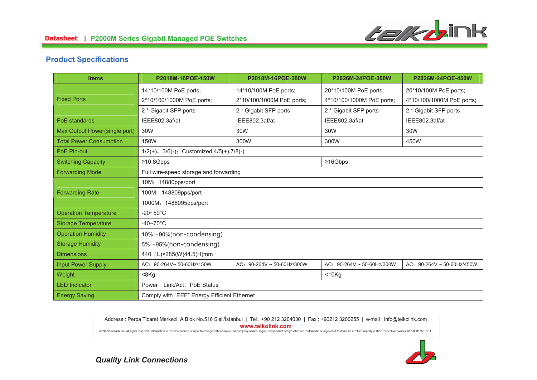

## **Product Specifications**

| <b>Items</b>                   | P2018M-16POE-150W                                    | P2018M-16POE-300W               | P2026M-24POE-300W          | P2026M-24POE-450W               |
|--------------------------------|------------------------------------------------------|---------------------------------|----------------------------|---------------------------------|
|                                | 14*10/100M PoE ports;                                | 14*10/100M PoE ports;           | 20*10/100M PoE ports;      | 20*10/100M PoE ports;           |
| <b>Fixed Ports</b>             | 2*10/100/1000M PoE ports;                            | 2*10/100/1000M PoE ports;       | 4*10/100/1000M PoE ports;  | 4*10/100/1000M PoE ports;       |
|                                | 2 * Gigabit SFP ports                                | 2 * Gigabit SFP ports           | 2 * Gigabit SFP ports      | 2 * Gigabit SFP ports           |
| PoE standards                  | IEEE802.3af/at                                       | IEEE802.3af/at                  | IEEE802.3af/at             | IEEE802.3af/at                  |
| Max Output Power(single port)  | 30W                                                  | 30W                             | 30W                        | 30W                             |
| <b>Total Power Consumption</b> | 150W                                                 | 300W                            | 300W                       | 450W                            |
| PoE Pin-out                    | $1/2(+)$ , $3/6(-)$ ; Customized $4/5(+)$ , $7/8(-)$ |                                 |                            |                                 |
| <b>Switching Capacity</b>      | $\geq 10.8Gbps$                                      |                                 | $\geq 16Gbps$              |                                 |
| <b>Forwarding Mode</b>         | Full wire-speed storage and forwarding               |                                 |                            |                                 |
|                                | 10M: 14880pps/port                                   |                                 |                            |                                 |
| <b>Forwarding Rate</b>         | 100M: 148809pps/port                                 |                                 |                            |                                 |
|                                | 1000M: 1488095pps/port                               |                                 |                            |                                 |
| <b>Operation Temperature</b>   | $-20\nthicksim50^{\circ}$ C                          |                                 |                            |                                 |
| <b>Storage Temperature</b>     | $-40\nightharpoonup70^{\circ}C$                      |                                 |                            |                                 |
| <b>Operation Humidity</b>      | $10\% \sim 90\%$ (non-condensing)                    |                                 |                            |                                 |
| <b>Storage Humidity</b>        | $5\% \sim 95\%$ (non-condensing)                     |                                 |                            |                                 |
| <b>Dimensions</b>              | 440 (L)×285(W)44.5(H)mm                              |                                 |                            |                                 |
| <b>Input Power Supply</b>      | AC: 90-264V~ 50-60Hz/150W                            | AC: $90-264V \sim 50-60Hz/300W$ | AC: 90-264V ~ 50-60Hz/300W | AC: $90-264V \sim 50-60Hz/450W$ |
| Weight                         | $8Kg$                                                |                                 | < 10Kg                     |                                 |
| <b>LED Indicator</b>           | Power, Link/Act, PoE Status                          |                                 |                            |                                 |
| <b>Energy Saving</b>           | Comply with "EEE" Energy Efficient Ethernet          |                                 |                            |                                 |

Address : Perpa Ticaret Merkezi, A Blok No.516 Şişli/İstanbul | Tel : +90 212 3204030 | Fax : +90212 3200255 | e-mail : info@telkolink.com **%%%&-&'**

@ 2009 telcolink Inc. All rights reserved. Information in this document is subject to change without notice. All company names, logos, and product designs that are trademarks or registered trademarks are the property of th

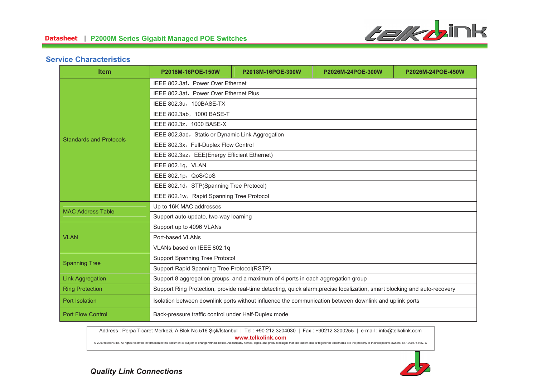

### **Service Characteristics**

| <b>Item</b>                    | P2018M-16POE-150W                                                                                                         | P2018M-16POE-300W | P2026M-24POE-300W | P2026M-24POE-450W |
|--------------------------------|---------------------------------------------------------------------------------------------------------------------------|-------------------|-------------------|-------------------|
|                                | IEEE 802.3af, Power Over Ethernet                                                                                         |                   |                   |                   |
|                                | IEEE 802.3at, Power Over Ethernet Plus                                                                                    |                   |                   |                   |
|                                | IEEE 802.3u, 100BASE-TX                                                                                                   |                   |                   |                   |
|                                | IEEE 802.3ab, 1000 BASE-T                                                                                                 |                   |                   |                   |
|                                | IEEE 802.3z, 1000 BASE-X                                                                                                  |                   |                   |                   |
| <b>Standards and Protocols</b> | IEEE 802.3ad, Static or Dynamic Link Aggregation                                                                          |                   |                   |                   |
|                                | IEEE 802.3x, Full-Duplex Flow Control                                                                                     |                   |                   |                   |
|                                | IEEE 802.3az, EEE(Energy Efficient Ethernet)                                                                              |                   |                   |                   |
|                                | IEEE 802.1q, VLAN                                                                                                         |                   |                   |                   |
|                                | IEEE 802.1p, QoS/CoS                                                                                                      |                   |                   |                   |
|                                | IEEE 802.1d, STP(Spanning Tree Protocol)                                                                                  |                   |                   |                   |
|                                | IEEE 802.1w, Rapid Spanning Tree Protocol                                                                                 |                   |                   |                   |
| <b>MAC Address Table</b>       | Up to 16K MAC addresses                                                                                                   |                   |                   |                   |
|                                | Support auto-update, two-way learning                                                                                     |                   |                   |                   |
| Support up to 4096 VLANs       |                                                                                                                           |                   |                   |                   |
| <b>VLAN</b>                    | Port-based VLANs                                                                                                          |                   |                   |                   |
|                                | VLANs based on IEEE 802.1q                                                                                                |                   |                   |                   |
| <b>Spanning Tree</b>           | <b>Support Spanning Tree Protocol</b>                                                                                     |                   |                   |                   |
|                                | Support Rapid Spanning Tree Protocol(RSTP)                                                                                |                   |                   |                   |
| <b>Link Aggregation</b>        | Support 8 aggregation groups, and a maximum of 4 ports in each aggregation group                                          |                   |                   |                   |
| <b>Ring Protection</b>         | Support Ring Protection, provide real-time detecting, quick alarm, precise localization, smart blocking and auto-recovery |                   |                   |                   |
| Port Isolation                 | Isolation between downlink ports without influence the communication between downlink and uplink ports                    |                   |                   |                   |
| <b>Port Flow Control</b>       | Back-pressure traffic control under Half-Duplex mode                                                                      |                   |                   |                   |

Address : Perpa Ticaret Merkezi, A Blok No.516 Şişli/İstanbul | Tel : +90 212 3204030 | Fax : +90212 3200255 | e-mail : info@telkolink.com

**%%%&-&'**

@ 2009 telcolink Inc. All rights reserved. Information in this document is subject to change without notice. All company names, logos, and product designs that are trademarks or registered trademarks are the property of th

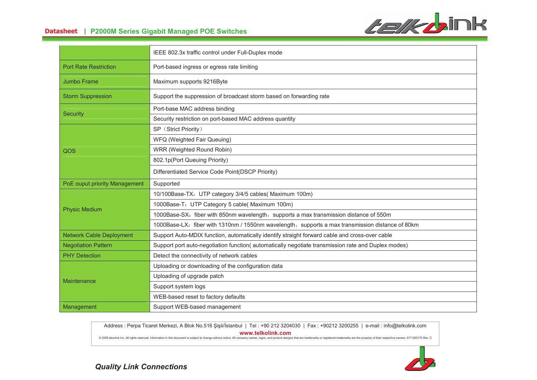

# **-- P2000M Series Gigabit Managed POE Switches**

|                                 | IEEE 802.3x traffic control under Full-Duplex mode                                                 |
|---------------------------------|----------------------------------------------------------------------------------------------------|
| <b>Port Rate Restriction</b>    | Port-based ingress or egress rate limiting                                                         |
| <b>Jumbo Frame</b>              | Maximum supports 9216Byte                                                                          |
| <b>Storm Suppression</b>        | Support the suppression of broadcast storm based on forwarding rate                                |
| <b>Security</b>                 | Port-base MAC address binding                                                                      |
|                                 | Security restriction on port-based MAC address quantity                                            |
|                                 | SP (Strict Priority)                                                                               |
|                                 | WFQ (Weighted Fair Queuing)                                                                        |
| QOS                             | WRR (Weighted Round Robin)                                                                         |
|                                 | 802.1p(Port Queuing Priority)                                                                      |
|                                 | Differentiated Service Code Point(DSCP Priority)                                                   |
| PoE ouput priority Management   | Supported                                                                                          |
|                                 | 10/100Base-TX: UTP category 3/4/5 cables(Maximum 100m)                                             |
| <b>Physic Medium</b>            | 1000Base-T: UTP Category 5 cable( Maximum 100m)                                                    |
|                                 | 1000Base-SX: fiber with 850nm wavelength, supports a max transmission distance of 550m             |
|                                 | 1000Base-LX: fiber with 1310nm / 1550nm wavelength, supports a max transmission distance of 80km   |
| <b>Network Cable Deployment</b> | Support Auto-MDIX function, automatically identify straight forward cable and cross-over cable     |
| <b>Negotiation Pattern</b>      | Support port auto-negotiation function(automatically negotiate transmission rate and Duplex modes) |
| <b>PHY Detection</b>            | Detect the connectivity of network cables                                                          |
| Maintenance                     | Uploading or downloading of the configuration data                                                 |
|                                 | Uploading of upgrade patch                                                                         |
|                                 | Support system logs                                                                                |
|                                 | WEB-based reset to factory defaults                                                                |
| Management                      |                                                                                                    |

Address : Perpa Ticaret Merkezi, A Blok No.516 Şişli/İstanbul | Tel : +90 212 3204030 | Fax : +90212 3200255 | e-mail : info@telkolink.com **%%%&-&'**

@ 2009 telcolink Inc. All rights reserved. Information in this document is subject to change without notice. All company names, logos, and product designs that are trademarks or registered trademarks are the property of th